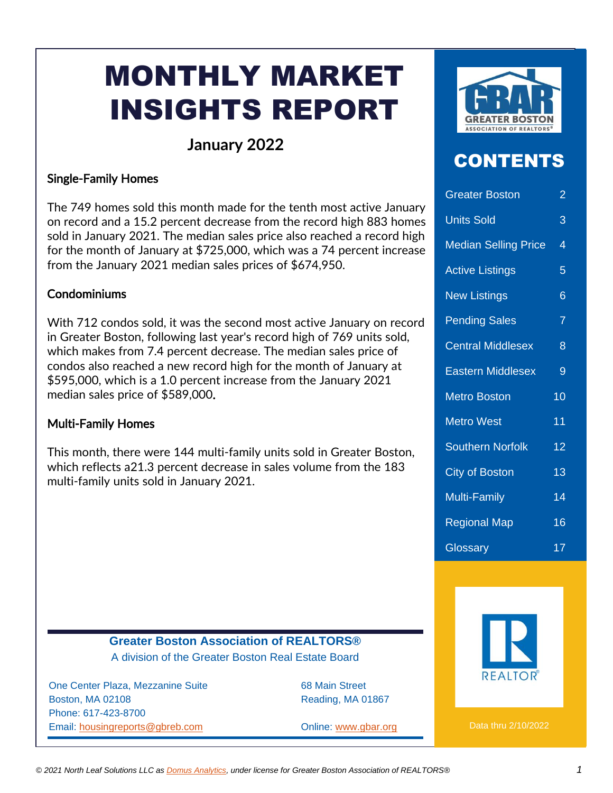# MONTHLY MARKET INSIGHTS REPORT

### **January 2022**

#### Single-Family Homes

The 749 homes sold this month made for the tenth most active January on record and a 15.2 percent decrease from the record high 883 homes sold in January 2021. The median sales price also reached a record high for the month of January at \$725,000, which was a 74 percent increase from the January 2021 median sales prices of \$674,950.

#### **Condominiums**

With 712 condos sold, it was the second most active January on record in Greater Boston, following last year's record high of 769 units sold, which makes from 7.4 percent decrease. The median sales price of condos also reached a new record high for the month of January at \$595,000, which is a 1.0 percent increase from the January 2021 median sales price of \$589,000.

#### Multi-Family Homes

This month, there were 144 multi-family units sold in Greater Boston, which reflects a21.3 percent decrease in sales volume from the 183 multi-family units sold in January 2021.



### CONTENTS

| <b>Greater Boston</b>       | $\overline{2}$  |
|-----------------------------|-----------------|
| <b>Units Sold</b>           | 3               |
| <b>Median Selling Price</b> | 4               |
| <b>Active Listings</b>      | 5               |
| <b>New Listings</b>         | 6               |
| <b>Pending Sales</b>        | 7               |
| <b>Central Middlesex</b>    | 8               |
| <b>Eastern Middlesex</b>    | 9               |
| <b>Metro Boston</b>         | 10              |
| <b>Metro West</b>           | 11              |
| <b>Southern Norfolk</b>     | 12              |
| <b>City of Boston</b>       | 13              |
| <b>Multi-Family</b>         | 14              |
| <b>Regional Map</b>         | $\overline{16}$ |
| Glossary                    | 17              |



One Center Plaza, Mezzanine Suite 68 Main Street Boston, MA 02108 Reading, MA 01867 Phone: 617-423-8700 Email: [housingreports@gbreb.com](mailto:housingreports@gbreb.com) Online: [www.gbar.org](http://www.gbar.org/)



Data thru 2/10/2022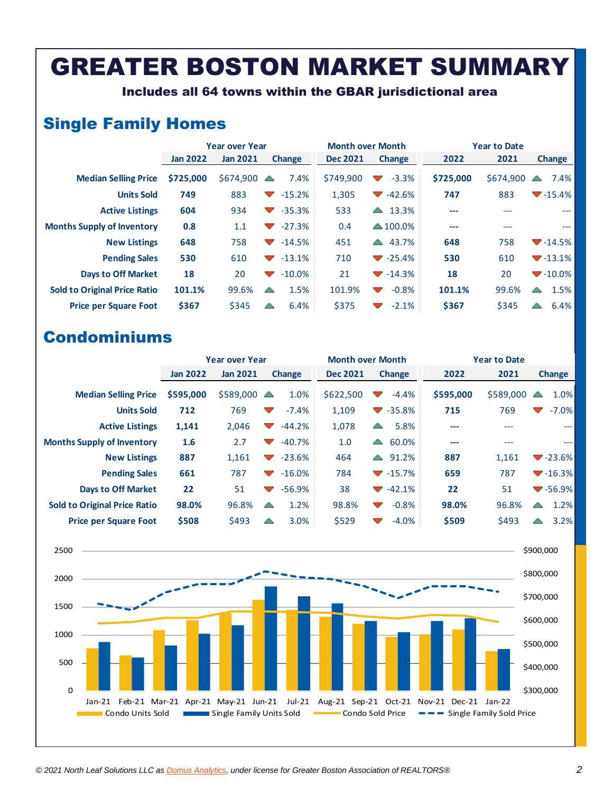## GREATER BOSTON MARKET SUMMARY

Includes all 64 towns within the GBAR jurisdictional area

### Single Family Homes

|                                     |                 | <b>Year over Year</b> |                                                | <b>Month over Month</b> |                                               | <b>Year to Date</b> |           |                        |  |
|-------------------------------------|-----------------|-----------------------|------------------------------------------------|-------------------------|-----------------------------------------------|---------------------|-----------|------------------------|--|
|                                     | <b>Jan 2022</b> | <b>Jan 2021</b>       | <b>Change</b>                                  | <b>Dec 2021</b>         | <b>Change</b>                                 | 2022                | 2021      | <b>Change</b>          |  |
| <b>Median Selling Price</b>         | \$725,000       | \$674,900             | 7.4%                                           | \$749,900               | $-3.3%$<br><b>Contract</b>                    | \$725,000           | \$674,900 | 7.4%<br>△              |  |
| <b>Units Sold</b>                   | 749             | 883                   | $-15.2%$<br>$\mathcal{L}$                      | 1,305                   | $-42.6%$<br><b>Contract Contract Contract</b> | 747                 | 883       | $-15.4\%$              |  |
| <b>Active Listings</b>              | 604             | 934                   | $-35.3%$<br>$\mathcal{L}$                      | 533                     | 13.3%<br><b>A</b>                             | ---                 | ---       | ---                    |  |
| <b>Months Supply of Inventory</b>   | 0.8             | 1.1                   | $-27.3%$<br>$\overline{\phantom{a}}$           | 0.4                     | $\triangle$ 100.0%                            | ---                 | ---       | $\qquad \qquad \cdots$ |  |
| <b>New Listings</b>                 | 648             | 758                   | $-14.5%$<br>$\blacktriangledown$               | 451                     | 43.7%<br>$\leftarrow$                         | 648                 | 758       | $-14.5\%$              |  |
| <b>Pending Sales</b>                | 530             | 610                   | $-13.1%$<br>$\overline{\phantom{a}}$           | 710                     | $\blacktriangledown$ -25.4%                   | 530                 | 610       | $-13.1%$               |  |
| <b>Days to Off Market</b>           | 18              | 20                    | $-10.0\%$<br><b>Contract Contract Contract</b> | 21                      | $\blacktriangledown$ -14.3%                   | 18                  | 20        | $-10.0\%$              |  |
| <b>Sold to Original Price Ratio</b> | 101.1%          | 99.6%                 | 1.5%<br>△                                      | 101.9%                  | $-0.8%$<br>$\overline{\mathcal{A}}$           | 101.1%              | 99.6%     | 1.5%<br>△              |  |
| <b>Price per Square Foot</b>        | \$367           | \$345                 | 6.4%<br>△                                      | \$375                   | $-2.1%$                                       | \$367               | \$345     | 6.4%<br>△              |  |

|                                     | <b>Year over Year</b> |                 |                                   |          | <b>Month over Month</b> |                                   |                             | <b>Year to Date</b> |           |                          |                             |
|-------------------------------------|-----------------------|-----------------|-----------------------------------|----------|-------------------------|-----------------------------------|-----------------------------|---------------------|-----------|--------------------------|-----------------------------|
|                                     | <b>Jan 2022</b>       | <b>Jan 2021</b> | <b>Change</b>                     |          | <b>Dec 2021</b>         |                                   | <b>Change</b>               | 2022                | 2021      |                          | <b>Change</b>               |
| <b>Median Selling Price</b>         | \$595,000             | \$589,000       | $\triangle$                       | 1.0%     | \$622,500               | $\overline{\phantom{a}}$          | $-4.4%$                     | \$595,000           | \$589,000 |                          | 1.0%                        |
| <b>Units Sold</b>                   | 712                   | 769             | $\overline{\phantom{a}}$          | $-7.4%$  | 1,109                   |                                   | $\blacktriangledown$ -35.8% | 715                 | 769       | $\overline{\phantom{a}}$ | $-7.0\%$                    |
| <b>Active Listings</b>              | 1,141                 | 2,046           | $\mathcal{L}$                     | $-44.2%$ | 1,078                   | A                                 | 5.8%                        | $---$               | ---       |                          | ---                         |
| <b>Months Supply of Inventory</b>   | 1.6                   | 2.7             | $\blacktriangledown$              | $-40.7%$ | 1.0                     | A                                 | 60.0%                       | $---$               | ---       |                          | ---                         |
| <b>New Listings</b>                 | 887                   | 1,161           | $\blacktriangledown$              | $-23.6%$ | 464                     | △                                 | 91.2%                       | 887                 | 1.161     |                          | $\blacktriangledown$ -23.6% |
| <b>Pending Sales</b>                | 661                   | 787             | <b>Contract Contract Contract</b> | $-16.0%$ | 784                     |                                   | $-15.7\%$                   | 659                 | 787       |                          | $\blacktriangledown$ -16.3% |
| <b>Days to Off Market</b>           | 22                    | 51              | $\overline{\phantom{a}}$          | $-56.9%$ | 38                      |                                   | $-42.1%$                    | 22                  | 51        |                          | $\blacktriangledown$ -56.9% |
| <b>Sold to Original Price Ratio</b> | 98.0%                 | 96.8%           | △                                 | 1.2%     | 98.8%                   | <b>Contract Contract Contract</b> | $-0.8%$                     | 98.0%               | 96.8%     | △                        | 1.2%                        |
| <b>Price per Square Foot</b>        | \$508                 | \$493           | △                                 | 3.0%     | \$529                   |                                   | $-4.0%$                     | \$509               | \$493     | △                        | 3.2%                        |

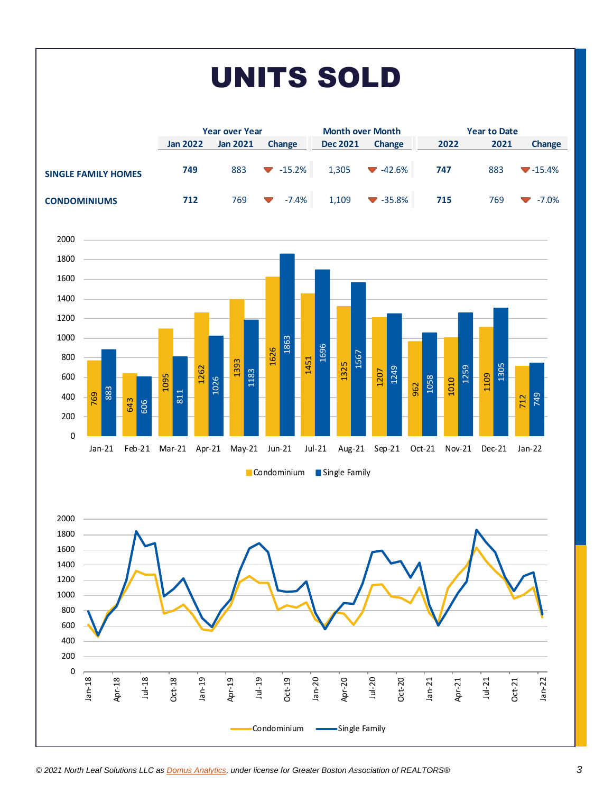# UNITS SOLD

|                            |                 | <b>Year over Year</b> |                                 | <b>Month over Month</b> |                             |      | <b>Year to Date</b> |          |  |  |
|----------------------------|-----------------|-----------------------|---------------------------------|-------------------------|-----------------------------|------|---------------------|----------|--|--|
|                            | <b>Jan 2022</b> | <b>Jan 2021</b>       | <b>Change</b>                   | <b>Dec 2021</b>         | Change                      | 2022 | 2021                | Change   |  |  |
| <b>SINGLE FAMILY HOMES</b> | 749             | 883                   | $-15.2\%$                       | 1,305                   | $-42.6%$                    | 747  | 883                 | $-15.4%$ |  |  |
| <b>CONDOMINIUMS</b>        | 712             | 769                   | $-7.4%$<br>$\blacktriangledown$ | 1,109                   | $\blacktriangledown$ -35.8% | 715  | 769                 | $-7.0\%$ |  |  |



#### Condominium Single Family

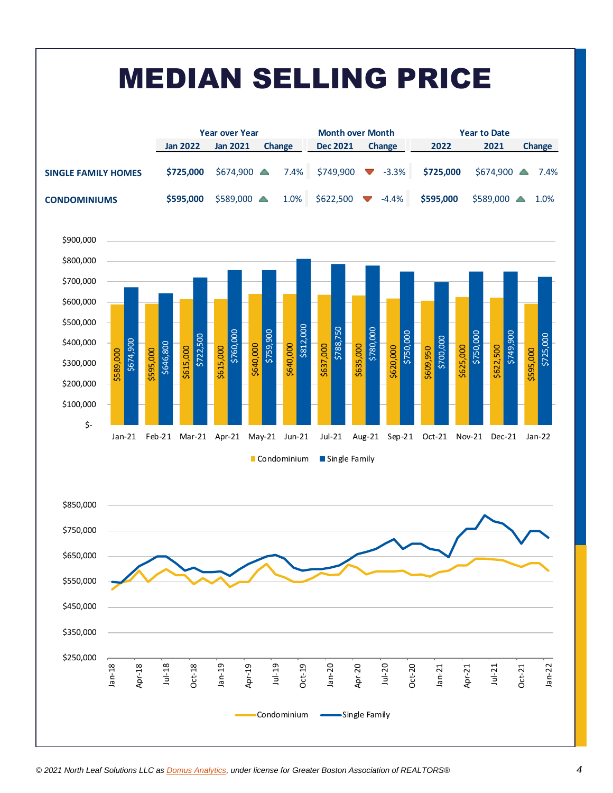

Condominium -Single Family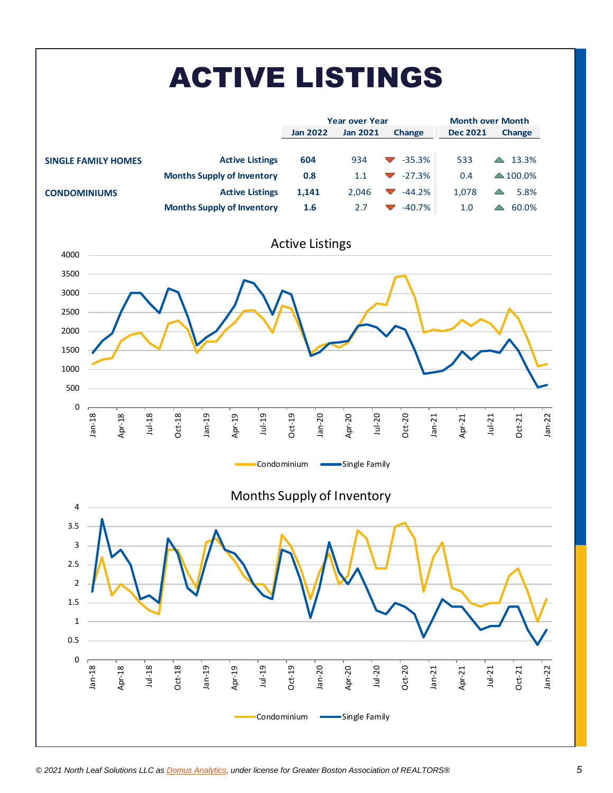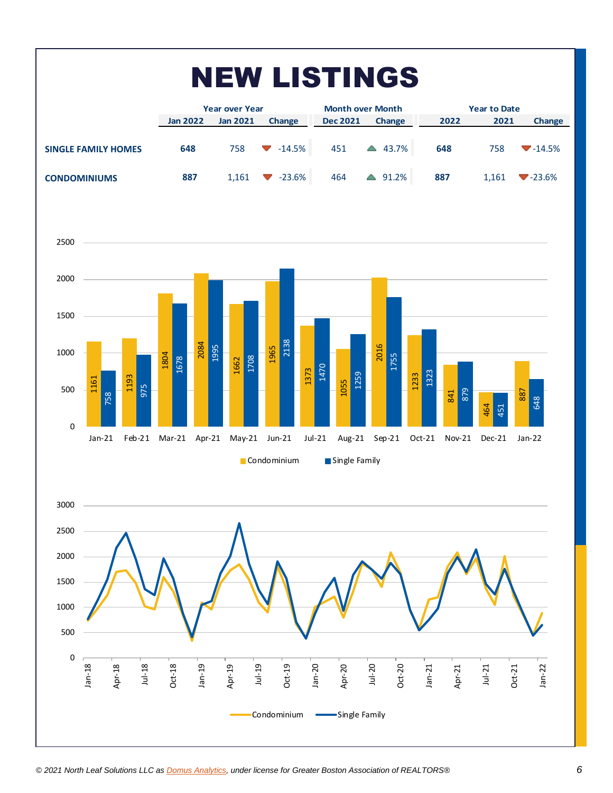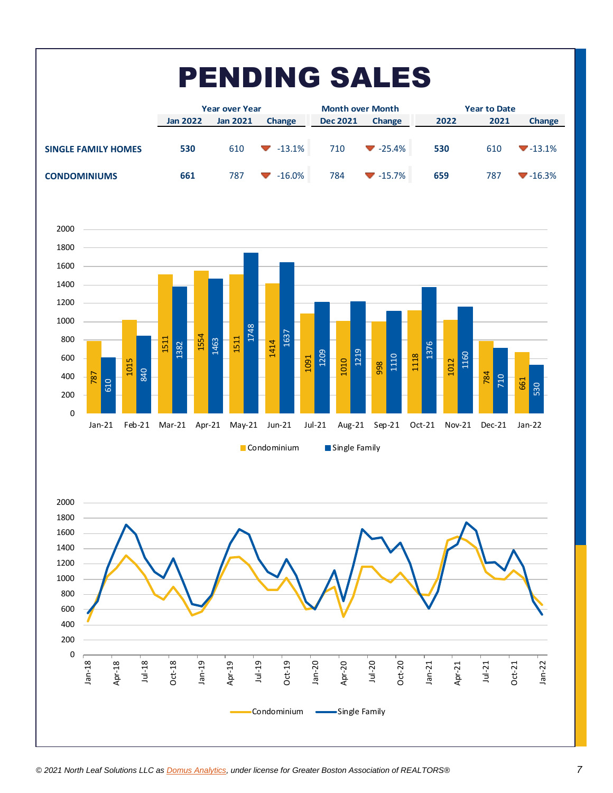| <b>PENDING SALES</b>       |                 |                       |           |                         |                             |                     |      |                             |  |  |  |
|----------------------------|-----------------|-----------------------|-----------|-------------------------|-----------------------------|---------------------|------|-----------------------------|--|--|--|
|                            |                 | <b>Year over Year</b> |           | <b>Month over Month</b> |                             | <b>Year to Date</b> |      |                             |  |  |  |
|                            | <b>Jan 2022</b> | <b>Jan 2021</b>       | Change    | <b>Dec 2021</b>         | Change                      | 2022                | 2021 | Change                      |  |  |  |
| <b>SINGLE FAMILY HOMES</b> | 530             | 610                   | $-13.1\%$ | 710                     | $\blacktriangledown$ -25.4% | 530                 | 610  | $\blacktriangledown$ -13.1% |  |  |  |
| <b>CONDOMINIUMS</b>        | 661             | 787                   | $-16.0%$  | 784                     | $-15.7\%$                   | 659                 | 787  | $\blacktriangledown$ -16.3% |  |  |  |



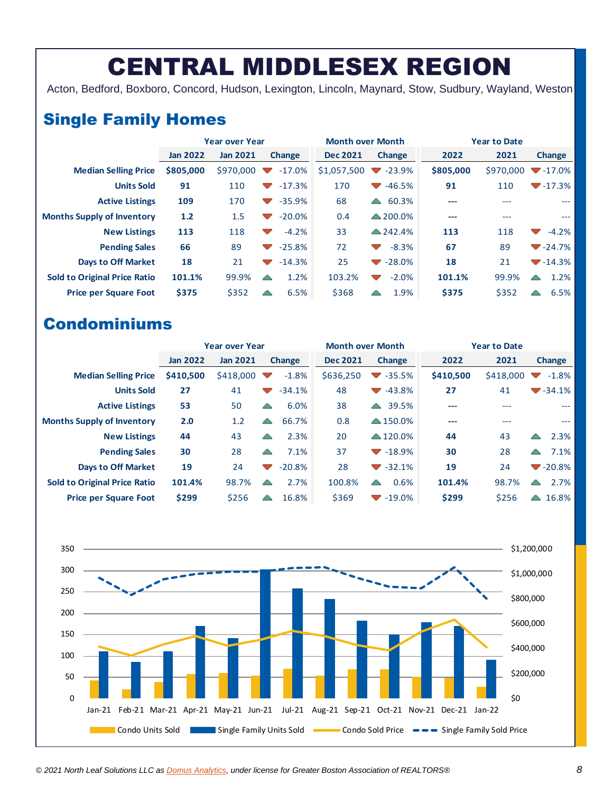## CENTRAL MIDDLESEX REGION

Acton, Bedford, Boxboro, Concord, Hudson, Lexington, Lincoln, Maynard, Stow, Sudbury, Wayland, Weston

### Single Family Homes

|                                     | <b>Year over Year</b> |                 |                                       | <b>Month over Month</b> |                                                      | <b>Year to Date</b> |           |                             |  |
|-------------------------------------|-----------------------|-----------------|---------------------------------------|-------------------------|------------------------------------------------------|---------------------|-----------|-----------------------------|--|
|                                     | <b>Jan 2022</b>       | <b>Jan 2021</b> | Change                                | <b>Dec 2021</b>         | <b>Change</b>                                        | 2022                | 2021      | <b>Change</b>               |  |
| <b>Median Selling Price</b>         | \$805,000             | \$970,000       | $-17.0\%$<br>$\overline{\phantom{a}}$ | \$1,057,500             | $-23.9%$<br>$\sim$                                   | \$805,000           | \$970,000 | $-17.0\%$                   |  |
| <b>Units Sold</b>                   | 91                    | 110             | $-17.3%$<br>$\blacktriangledown$      | 170                     | -46.5%<br><b>Contract Contract Contract Contract</b> | 91                  | 110       | $-17.3%$                    |  |
| <b>Active Listings</b>              | 109                   | 170             | $-35.9%$<br>$\overline{\phantom{a}}$  | 68                      | 60.3%<br>$\blacktriangle$                            | ---                 | ---       | ---                         |  |
| <b>Months Supply of Inventory</b>   | 1.2                   | 1.5             | $-20.0\%$<br>$\blacktriangledown$     | 0.4                     | $\triangle$ 200.0%                                   | ---                 | ---       | ---                         |  |
| <b>New Listings</b>                 | 113                   | 118             | $-4.2%$<br>$\overline{\phantom{a}}$   | 33                      | $\triangle$ 242.4%                                   | 113                 | 118       | $-4.2%$<br>$\sim$           |  |
| <b>Pending Sales</b>                | 66                    | 89              | $-25.8%$<br>$\blacktriangledown$      | 72                      | $-8.3%$<br>$\sim$                                    | 67                  | 89        | $\blacktriangledown$ -24.7% |  |
| <b>Days to Off Market</b>           | 18                    | 21              | $-14.3%$<br>$\overline{\phantom{a}}$  | 25                      | $-28.0%$<br>$\blacktriangledown$                     | 18                  | 21        | $-14.3%$                    |  |
| <b>Sold to Original Price Ratio</b> | 101.1%                | 99.9%           | 1.2%<br>△                             | 103.2%                  | $-2.0%$<br>$\sim$                                    | 101.1%              | 99.9%     | 1.2%<br>A                   |  |
| <b>Price per Square Foot</b>        | \$375                 | \$352           | 6.5%<br>△                             | \$368                   | 1.9%                                                 | \$375               | \$352     | 6.5%<br>△                   |  |

|                                     | <b>Year over Year</b> |                 |                          |               | <b>Month over Month</b> |                                  | <b>Year to Date</b> |           |   |                             |
|-------------------------------------|-----------------------|-----------------|--------------------------|---------------|-------------------------|----------------------------------|---------------------|-----------|---|-----------------------------|
|                                     | <b>Jan 2022</b>       | <b>Jan 2021</b> |                          | <b>Change</b> | <b>Dec 2021</b>         | Change                           | 2022                | 2021      |   | Change                      |
| <b>Median Selling Price</b>         | \$410,500             | \$418,000       | $\overline{\phantom{a}}$ | $-1.8%$       | \$636,250               | $-35.5%$<br>$\blacktriangledown$ | \$410,500           | \$418,000 |   | $-1.8%$                     |
| <b>Units Sold</b>                   | 27                    | 41              | $\overline{\phantom{a}}$ | $-34.1%$      | 48                      | $-43.8%$                         | 27                  | 41        |   | $\blacktriangledown$ -34.1% |
| <b>Active Listings</b>              | 53                    | 50              | △                        | 6.0%          | 38                      | 39.5%<br>$\blacktriangle$        | ---                 | ---       |   | ---                         |
| <b>Months Supply of Inventory</b>   | 2.0                   | 1.2             | △                        | 66.7%         | 0.8                     | $\triangle$ 150.0%               | ---                 | ---       |   | $---$                       |
| <b>New Listings</b>                 | 44                    | 43              | △                        | 2.3%          | 20                      | $\triangle$ 120.0%               | 44                  | 43        | ▲ | 2.3%                        |
| <b>Pending Sales</b>                | 30                    | 28              | △                        | 7.1%          | 37                      | $\blacktriangledown$ -18.9%      | 30                  | 28        | △ | 7.1%                        |
| <b>Days to Off Market</b>           | 19                    | 24              | $\overline{\phantom{a}}$ | $-20.8%$      | 28                      | $\blacktriangledown$ -32.1%      | 19                  | 24        |   | $-20.8\%$                   |
| <b>Sold to Original Price Ratio</b> | 101.4%                | 98.7%           | △                        | 2.7%          | 100.8%                  | 0.6%<br>$\sqrt{2}$               | 101.4%              | 98.7%     | △ | 2.7%                        |
| <b>Price per Square Foot</b>        | \$299                 | \$256           | △                        | 16.8%         | \$369                   | $-19.0\%$                        | \$299               | \$256     | △ | 16.8%                       |

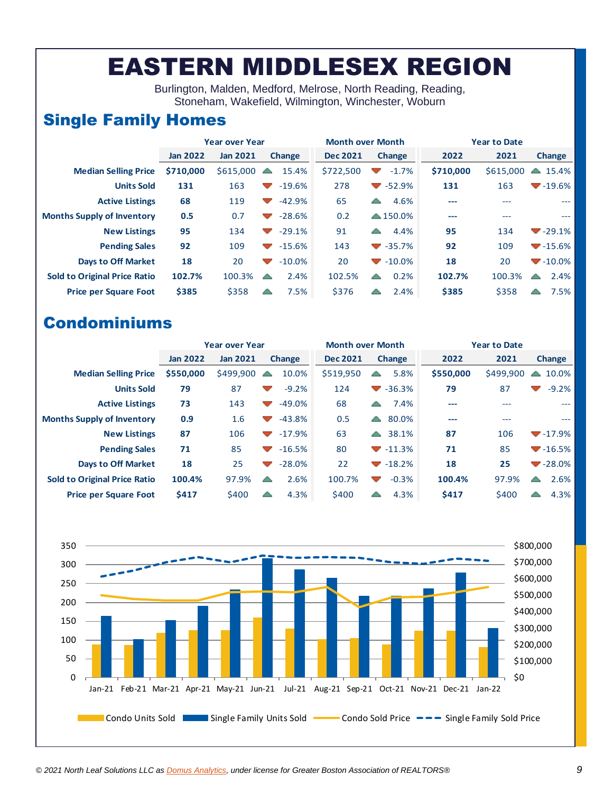### EASTERN MIDDLESEX REGION

Burlington, Malden, Medford, Melrose, North Reading, Reading, Stoneham, Wakefield, Wilmington, Winchester, Woburn

### Single Family Homes

|                                     | <b>Year over Year</b> |                 |                                               | <b>Month over Month</b> |                             | <b>Year to Date</b> |           |                     |  |
|-------------------------------------|-----------------------|-----------------|-----------------------------------------------|-------------------------|-----------------------------|---------------------|-----------|---------------------|--|
|                                     | <b>Jan 2022</b>       | <b>Jan 2021</b> | <b>Change</b>                                 | <b>Dec 2021</b>         | <b>Change</b>               | 2022                | 2021      | <b>Change</b>       |  |
| <b>Median Selling Price</b>         | \$710,000             | \$615,000       | 15.4%<br>$\blacktriangle$                     | \$722,500               | $-1.7%$<br>┳                | \$710,000           | \$615,000 | $\triangle$ 15.4%   |  |
| <b>Units Sold</b>                   | 131                   | 163             | $-19.6%$<br>$\sim$                            | 278                     | $\blacktriangledown$ -52.9% | 131                 | 163       | $-19.6%$            |  |
| <b>Active Listings</b>              | 68                    | 119             | $-42.9%$<br>$\overline{\phantom{a}}$          | 65                      | 4.6%<br>▲                   | ---                 | ---       | ---                 |  |
| <b>Months Supply of Inventory</b>   | 0.5                   | 0.7             | $-28.6%$<br>$\blacktriangledown$              | 0.2                     | $\triangle$ 150.0%          | ---                 | ---       | $---$               |  |
| <b>New Listings</b>                 | 95                    | 134             | $-29.1%$<br>$\overline{\phantom{a}}$          | 91                      | 4.4%<br>$\sqrt{2}$          | 95                  | 134       | $-29.1%$            |  |
| <b>Pending Sales</b>                | 92                    | 109             | $-15.6%$<br><b>Contract Contract Contract</b> | 143                     | $\blacktriangledown$ -35.7% | 92                  | 109       | $-15.6%$            |  |
| <b>Days to Off Market</b>           | 18                    | 20              | $-10.0%$<br><b>Contract Contract Contract</b> | 20                      | $-10.0\%$                   | 18                  | 20        | $-10.0\%$           |  |
| <b>Sold to Original Price Ratio</b> | 102.7%                | 100.3%          | 2.4%<br>▲                                     | 102.5%                  | 0.2%<br>▲                   | 102.7%              | 100.3%    | 2.4%<br>$\triangle$ |  |
| <b>Price per Square Foot</b>        | \$385                 | \$358           | 7.5%<br>▲                                     | \$376                   | 2.4%                        | \$385               | \$358     | 7.5%<br>△           |  |

|                                     | <b>Year over Year</b> |                 |                                   |               | <b>Month over Month</b> |                          |                             | <b>Year to Date</b> |           |                          |           |
|-------------------------------------|-----------------------|-----------------|-----------------------------------|---------------|-------------------------|--------------------------|-----------------------------|---------------------|-----------|--------------------------|-----------|
|                                     | <b>Jan 2022</b>       | <b>Jan 2021</b> |                                   | <b>Change</b> | <b>Dec 2021</b>         |                          | Change                      | 2022                | 2021      |                          | Change    |
| <b>Median Selling Price</b>         | \$550,000             | \$499,900       | $\blacktriangle$                  | 10.0%         | \$519,950               | $\triangle$              | 5.8%                        | \$550,000           | \$499,900 | △                        | 10.0%     |
| <b>Units Sold</b>                   | 79                    | 87              | $\blacktriangledown$              | $-9.2%$       | 124                     |                          | $\blacktriangledown$ -36.3% | 79                  | 87        | $\overline{\phantom{a}}$ | $-9.2%$   |
| <b>Active Listings</b>              | 73                    | 143             | $\blacktriangledown$              | $-49.0%$      | 68                      | △                        | 7.4%                        | ---                 | ---       |                          | ---       |
| <b>Months Supply of Inventory</b>   | 0.9                   | 1.6             |                                   | $-43.8%$      | 0.5                     | $\blacktriangle$         | 80.0%                       | ---                 | ---       |                          | ---       |
| <b>New Listings</b>                 | 87                    | 106             | <b>Contract Contract</b>          | $-17.9%$      | 63                      | $\blacktriangle$         | 38.1%                       | 87                  | 106       |                          | $-17.9%$  |
| <b>Pending Sales</b>                | 71                    | 85              | <b>Contract Contract Contract</b> | $-16.5%$      | 80                      |                          | $-11.3%$                    | 71                  | 85        |                          | $-16.5%$  |
| <b>Days to Off Market</b>           | 18                    | 25              | ▼                                 | $-28.0%$      | 22                      |                          | $-18.2%$                    | 18                  | 25        |                          | $-28.0\%$ |
| <b>Sold to Original Price Ratio</b> | 100.4%                | 97.9%           | △                                 | 2.6%          | 100.7%                  | $\overline{\phantom{a}}$ | $-0.3%$                     | 100.4%              | 97.9%     | ▲                        | 2.6%      |
| <b>Price per Square Foot</b>        | \$417                 | \$400           | △                                 | 4.3%          | \$400                   | $\overline{\phantom{a}}$ | 4.3%                        | <b>S417</b>         | \$400     | △                        | 4.3%      |

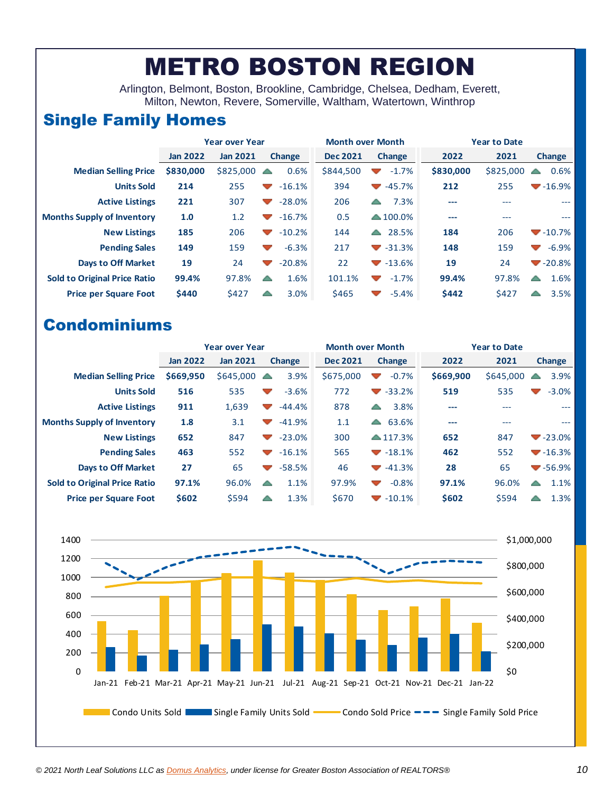## METRO BOSTON REGION

Arlington, Belmont, Boston, Brookline, Cambridge, Chelsea, Dedham, Everett, Milton, Newton, Revere, Somerville, Waltham, Watertown, Winthrop

### Single Family Homes

|                                     |                 | <b>Year over Year</b> |                                      | <b>Month over Month</b> |                                               | <b>Year to Date</b> |           |                                      |  |
|-------------------------------------|-----------------|-----------------------|--------------------------------------|-------------------------|-----------------------------------------------|---------------------|-----------|--------------------------------------|--|
|                                     | <b>Jan 2022</b> | <b>Jan 2021</b>       | <b>Change</b>                        | <b>Dec 2021</b>         | <b>Change</b>                                 | 2022                | 2021      | Change                               |  |
| <b>Median Selling Price</b>         | \$830,000       | \$825,000             | 0.6%<br>$\triangle$                  | \$844,500               | $-1.7%$<br>$\sim$                             | \$830,000           | \$825,000 | 0.6%<br>$\sqrt{2}$                   |  |
| <b>Units Sold</b>                   | 214             | 255                   | $-16.1%$<br>$\overline{\phantom{a}}$ | 394                     | $-45.7%$<br><b>Contract Contract Contract</b> | 212                 | 255       | $-16.9%$                             |  |
| <b>Active Listings</b>              | 221             | 307                   | $-28.0%$<br>$\overline{\phantom{a}}$ | 206                     | 7.3%<br>△                                     | ---                 | $---$     | $-$                                  |  |
| <b>Months Supply of Inventory</b>   | 1.0             | 1.2                   | $-16.7%$<br>▽                        | 0.5                     | $\triangle$ 100.0%                            | ---                 | ---       | $---$                                |  |
| <b>New Listings</b>                 | 185             | 206                   | $-10.2%$<br>$\mathcal{L}$            | 144                     | 28.5%<br>$\blacktriangle$                     | 184                 | 206       | $\blacktriangledown$ -10.7%          |  |
| <b>Pending Sales</b>                | 149             | 159                   | $-6.3%$<br>$\overline{\phantom{a}}$  | 217                     | $\blacktriangledown$ -31.3%                   | 148                 | 159       | $-6.9\%$<br>$\overline{\phantom{a}}$ |  |
| <b>Days to Off Market</b>           | 19              | 24                    | $-20.8%$<br>$\overline{\phantom{a}}$ | 22                      | $-13.6%$                                      | 19                  | 24        | $-20.8\%$                            |  |
| <b>Sold to Original Price Ratio</b> | 99.4%           | 97.8%                 | 1.6%<br>▲                            | 101.1%                  | $-1.7%$<br><b>Contract Contract</b>           | 99.4%               | 97.8%     | 1.6%<br>▲                            |  |
| <b>Price per Square Foot</b>        | \$440           | \$427                 | 3.0%<br>△                            | \$465                   | $-5.4%$<br>$\overline{\mathcal{A}}$           | \$442               | \$427     | 3.5%<br>△                            |  |

|                                     | <b>Year over Year</b> |                 |                                               |  | <b>Month over Month</b>   |                                   |                    | <b>Year to Date</b> |           |               |                             |
|-------------------------------------|-----------------------|-----------------|-----------------------------------------------|--|---------------------------|-----------------------------------|--------------------|---------------------|-----------|---------------|-----------------------------|
|                                     | <b>Jan 2022</b>       | <b>Jan 2021</b> | <b>Change</b>                                 |  | <b>Dec 2021</b><br>Change |                                   | 2022               | 2021                |           | <b>Change</b> |                             |
| <b>Median Selling Price</b>         | \$669,950             | \$645,000       | 3.9%<br>▲                                     |  | \$675,000                 | <b>Alberta</b>                    | $-0.7%$            | \$669,900           | \$645,000 | ∸             | 3.9%                        |
| <b>Units Sold</b>                   | 516                   | 535             | $-3.6%$<br>$\sim$                             |  | 772                       | <b>Contract Contract Contract</b> | $-33.2%$           | 519                 | 535       |               | $-3.0%$                     |
| <b>Active Listings</b>              | 911                   | 1,639           | $-44.4%$<br>$\overline{\phantom{a}}$          |  | 878                       | ▲                                 | 3.8%               | ---                 | ---       |               | ---                         |
| <b>Months Supply of Inventory</b>   | 1.8                   | 3.1             | $-41.9%$<br>$\overline{\phantom{a}}$          |  | 1.1                       |                                   | 63.6%              | ---                 | ---       |               | $---$                       |
| <b>New Listings</b>                 | 652                   | 847             | $-23.0%$<br><b>Contract Contract Contract</b> |  | 300                       |                                   | $\triangle$ 117.3% | 652                 | 847       |               | $-23.0\%$                   |
| <b>Pending Sales</b>                | 463                   | 552             | $-16.1%$<br><b>Contract Contract Contract</b> |  | 565                       |                                   | $-18.1%$           | 462                 | 552       |               | $-16.3%$                    |
| <b>Days to Off Market</b>           | 27                    | 65              | $-58.5%$<br>$\mathcal{L}$                     |  | 46                        |                                   | $-41.3%$           | 28                  | 65        |               | $\blacktriangledown$ -56.9% |
| <b>Sold to Original Price Ratio</b> | 97.1%                 | 96.0%           | 1.1%<br>△                                     |  | 97.9%                     | <b>Contract Contract</b>          | $-0.8%$            | 97.1%               | 96.0%     | ▲             | 1.1%                        |
| <b>Price per Square Foot</b>        | \$602                 | \$594           | 1.3%<br>△                                     |  | \$670                     |                                   | $-10.1\%$          | \$602               | \$594     |               | 1.3%                        |

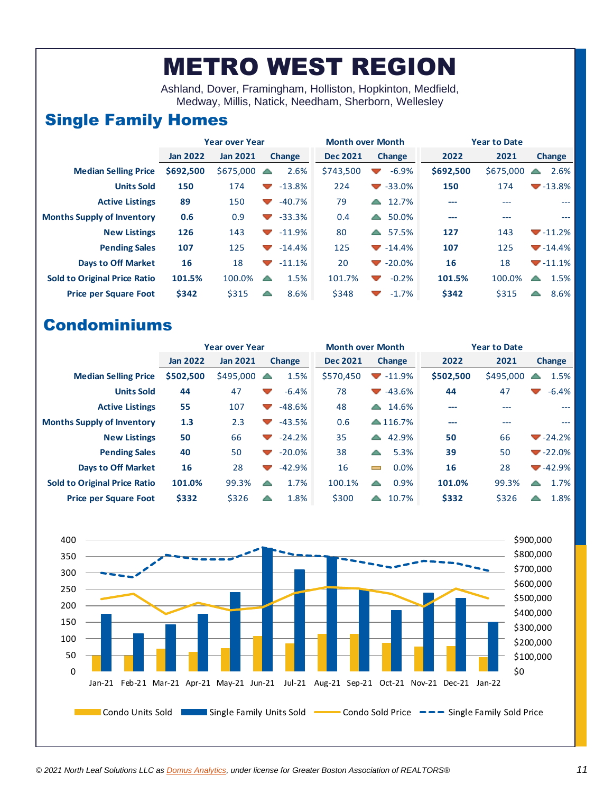## METRO WEST REGION

Ashland, Dover, Framingham, Holliston, Hopkinton, Medfield, Medway, Millis, Natick, Needham, Sherborn, Wellesley

### Single Family Homes

|                                     |                 | <b>Year over Year</b> |                                                        | <b>Month over Month</b>   |                                              | <b>Year to Date</b> |           |                          |  |
|-------------------------------------|-----------------|-----------------------|--------------------------------------------------------|---------------------------|----------------------------------------------|---------------------|-----------|--------------------------|--|
|                                     | <b>Jan 2022</b> | <b>Jan 2021</b>       | <b>Change</b>                                          | <b>Dec 2021</b><br>Change |                                              | 2022                | 2021      | Change                   |  |
| <b>Median Selling Price</b>         | \$692,500       | \$675,000             | 2.6%<br>$\triangle$                                    | \$743,500                 | $-6.9%$<br>$\blacktriangledown$              | \$692,500           | \$675,000 | 2.6%                     |  |
| <b>Units Sold</b>                   | 150             | 174                   | $-13.8%$<br>$\overline{\phantom{a}}$                   | 224                       | $\blacktriangledown$ -33.0%                  | 150                 | 174       | $-13.8%$                 |  |
| <b>Active Listings</b>              | 89              | 150                   | $-40.7%$<br><b>Contract Contract Contract</b>          | 79                        | 12.7%<br>$\blacktriangle$                    | ---                 | ---       | $\overline{a}$           |  |
| <b>Months Supply of Inventory</b>   | 0.6             | 0.9                   | $-33.3%$<br>$\blacktriangledown$                       | 0.4                       | 50.0%<br>$\blacktriangle$                    | ---                 | ---       | $---$                    |  |
| <b>New Listings</b>                 | 126             | 143                   | $-11.9%$<br><b>Contract Contract Contract</b>          | 80                        | 57.5%<br>△                                   | 127                 | 143       | $-11.2%$                 |  |
| <b>Pending Sales</b>                | 107             | 125                   | $-14.4%$<br><b>Contract Contract Contract</b>          | 125                       | $-14.4%$                                     | 107                 | 125       | $-14.4%$                 |  |
| <b>Days to Off Market</b>           | 16              | 18                    | $-11.1%$<br><b>Contract Contract Contract Contract</b> | 20                        | $-20.0\%$                                    | 16                  | 18        | $-11.1%$                 |  |
| <b>Sold to Original Price Ratio</b> | 101.5%          | 100.0%                | 1.5%<br>$\triangle$                                    | 101.7%                    | $-0.2%$<br><b>Alberta</b>                    | 101.5%              | 100.0%    | 1.5%<br>$\blacktriangle$ |  |
| <b>Price per Square Foot</b>        | \$342           | \$315                 | 8.6%<br>△                                              | \$348                     | $-1.7%$<br><b>Contract Contract Contract</b> | \$342               | \$315     | 8.6%<br>△                |  |

|                                     | <b>Year over Year</b> | <b>Month over Month</b> |                          |               | <b>Year to Date</b> |                                            |                    |           |           |   |               |
|-------------------------------------|-----------------------|-------------------------|--------------------------|---------------|---------------------|--------------------------------------------|--------------------|-----------|-----------|---|---------------|
|                                     | <b>Jan 2022</b>       | <b>Jan 2021</b>         |                          | <b>Change</b> | <b>Dec 2021</b>     |                                            | <b>Change</b>      | 2022      | 2021      |   | <b>Change</b> |
| <b>Median Selling Price</b>         | \$502,500             | \$495,000               | △                        | 1.5%          | \$570,450           | <b>Contract Contract Contract Contract</b> | $-11.9%$           | \$502,500 | \$495,000 |   | 1.5%          |
| <b>Units Sold</b>                   | 44                    | 47                      | $\blacktriangledown$     | $-6.4%$       | 78                  | $\mathcal{L}$                              | $-43.6%$           | 44        | 47        |   | $-6.4%$       |
| <b>Active Listings</b>              | 55                    | 107                     | $\overline{\phantom{a}}$ | $-48.6%$      | 48                  | $\leftarrow$                               | 14.6%              | ---       | ---       |   | ---           |
| <b>Months Supply of Inventory</b>   | 1.3                   | 2.3                     | $\sim$                   | $-43.5%$      | 0.6                 |                                            | $\triangle$ 116.7% | ---       | ---       |   | $---$         |
| <b>New Listings</b>                 | 50                    | 66                      | $\overline{\phantom{a}}$ | $-24.2%$      | 35                  | $\triangle$                                | 42.9%              | 50        | 66        |   | $-24.2%$      |
| <b>Pending Sales</b>                | 40                    | 50                      | $\blacktriangledown$     | $-20.0%$      | 38                  | $\triangle$                                | 5.3%               | 39        | 50        |   | $-22.0\%$     |
| <b>Days to Off Market</b>           | 16                    | 28                      | $\overline{\phantom{a}}$ | $-42.9%$      | 16                  | $\blacksquare$                             | 0.0%               | 16        | 28        |   | $-42.9%$      |
| <b>Sold to Original Price Ratio</b> | 101.0%                | 99.3%                   | △                        | 1.7%          | 100.1%              | △                                          | 0.9%               | 101.0%    | 99.3%     | △ | 1.7%          |
| <b>Price per Square Foot</b>        | \$332                 | \$326                   | △                        | 1.8%          | \$300               | $\triangle$                                | 10.7%              | \$332     | \$326     |   | 1.8%          |

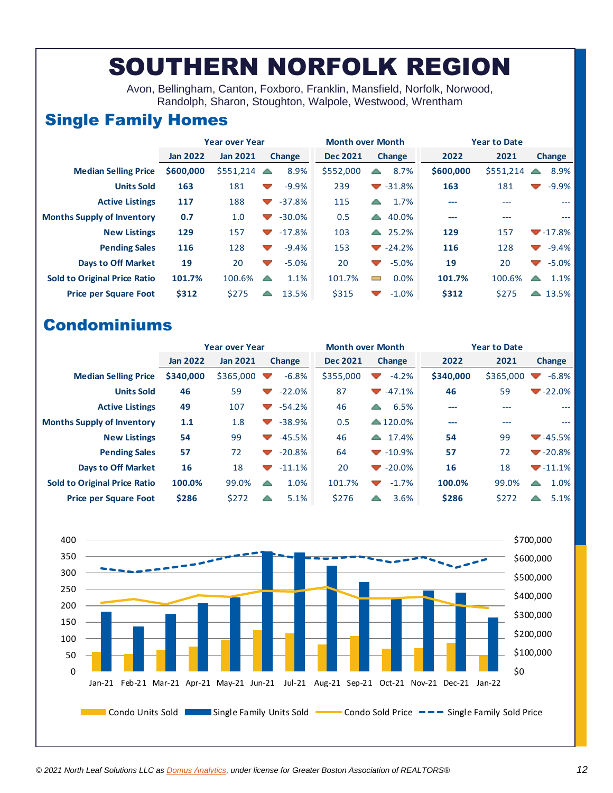### SOUTHERN NORFOLK REGION

Avon, Bellingham, Canton, Foxboro, Franklin, Mansfield, Norfolk, Norwood, Randolph, Sharon, Stoughton, Walpole, Westwood, Wrentham

### Single Family Homes

|                                     |                 | <b>Year over Year</b> |                                      | <b>Month over Month</b> |                                     | <b>Year to Date</b> |           |                                     |  |  |
|-------------------------------------|-----------------|-----------------------|--------------------------------------|-------------------------|-------------------------------------|---------------------|-----------|-------------------------------------|--|--|
|                                     | <b>Jan 2022</b> | <b>Jan 2021</b>       | <b>Change</b>                        | <b>Dec 2021</b>         | <b>Change</b>                       | 2022                | 2021      | Change                              |  |  |
| <b>Median Selling Price</b>         | \$600,000       | \$551.214             | 8.9%<br>▲                            | \$552,000               | 8.7%<br>▵                           | \$600,000           | \$551,214 | 8.9%                                |  |  |
| <b>Units Sold</b>                   | 163             | 181                   | $-9.9%$<br>$\overline{\phantom{a}}$  | 239                     | $\blacktriangledown$ -31.8%         | 163                 | 181       | $-9.9%$<br>$\overline{\phantom{a}}$ |  |  |
| <b>Active Listings</b>              | 117             | 188                   | $-37.8%$<br>$\sim$                   | 115                     | 1.7%<br>$\triangle$                 | ---                 | ---       | ---                                 |  |  |
| <b>Months Supply of Inventory</b>   | 0.7             | 1.0                   | $-30.0%$<br>$\overline{\phantom{a}}$ | 0.5                     | 40.0%<br>$\triangle$                | $---$               | ---       | $---$                               |  |  |
| <b>New Listings</b>                 | 129             | 157                   | $-17.8%$<br>$\sim$                   | 103                     | 25.2%<br>$\sim$                     | 129                 | 157       | $-17.8%$                            |  |  |
| <b>Pending Sales</b>                | 116             | 128                   | $-9.4%$<br>$\overline{\phantom{a}}$  | 153                     | $-24.2%$                            | 116                 | 128       | $-9.4%$<br>$\overline{\phantom{a}}$ |  |  |
| <b>Days to Off Market</b>           | 19              | 20                    | $-5.0%$<br>$\overline{\phantom{a}}$  | 20                      | $-5.0%$<br>$\sim$                   | 19                  | 20        | $-5.0%$<br>$\overline{\phantom{a}}$ |  |  |
| <b>Sold to Original Price Ratio</b> | 101.7%          | 100.6%                | 1.1%<br>$\triangle$                  | 101.7%                  | $0.0\%$<br>$\overline{\phantom{0}}$ | 101.7%              | 100.6%    | 1.1%<br>$\blacktriangle$            |  |  |
| <b>Price per Square Foot</b>        | \$312           | \$275                 | 13.5%<br>△                           | \$315                   | $-1.0%$<br>$\overline{\phantom{a}}$ | \$312               | \$275     | 13.5%<br>△                          |  |  |

|                                     |                 | <b>Year over Year</b> |                                      | <b>Month over Month</b> |                                               | <b>Year to Date</b> |           |               |  |  |
|-------------------------------------|-----------------|-----------------------|--------------------------------------|-------------------------|-----------------------------------------------|---------------------|-----------|---------------|--|--|
|                                     | <b>Jan 2022</b> | <b>Jan 2021</b>       | <b>Change</b>                        | <b>Dec 2021</b>         | <b>Change</b>                                 | 2022                | 2021      | <b>Change</b> |  |  |
| <b>Median Selling Price</b>         | \$340,000       | \$365,000             | $-6.8%$<br><b>Service</b>            | \$355,000               | $-4.2%$                                       | \$340,000           | \$365,000 | $-6.8%$       |  |  |
| <b>Units Sold</b>                   | 46              | 59                    | $-22.0%$<br>$\blacktriangledown$     | 87                      | $-47.1%$<br>$\mathcal{L}$                     | 46                  | 59        | $-22.0\%$     |  |  |
| <b>Active Listings</b>              | 49              | 107                   | $-54.2%$<br>$\overline{\phantom{a}}$ | 46                      | 6.5%<br>$\blacktriangle$                      | ---                 | ---       | ---           |  |  |
| <b>Months Supply of Inventory</b>   | 1.1             | 1.8                   | $-38.9%$<br>▽                        | 0.5                     | $\triangle$ 120.0%                            | ---                 | ---       | $---$         |  |  |
| <b>New Listings</b>                 | 54              | 99                    | $-45.5%$<br>$\blacktriangledown$     | 46                      | 17.4%<br>$\leftarrow$                         | 54                  | 99        | $-45.5%$      |  |  |
| <b>Pending Sales</b>                | 57              | 72                    | $-20.8%$<br>$\blacktriangledown$     | 64                      | $\blacktriangledown$ -10.9%                   | 57                  | 72        | $-20.8\%$     |  |  |
| <b>Days to Off Market</b>           | 16              | 18                    | $-11.1%$<br>$\mathcal{L}$            | 20                      | $-20.0%$<br><b>Contract Contract Contract</b> | 16                  | 18        | $-11.1%$      |  |  |
| <b>Sold to Original Price Ratio</b> | 100.0%          | 99.0%                 | 1.0%<br>△                            | 101.7%                  | $-1.7%$<br>$\blacktriangledown$               | 100.0%              | 99.0%     | 1.0%<br>▲     |  |  |
| <b>Price per Square Foot</b>        | \$286           | \$272                 | 5.1%<br>△                            | \$276                   | 3.6%<br>△                                     | \$286               | \$272     | 5.1%          |  |  |

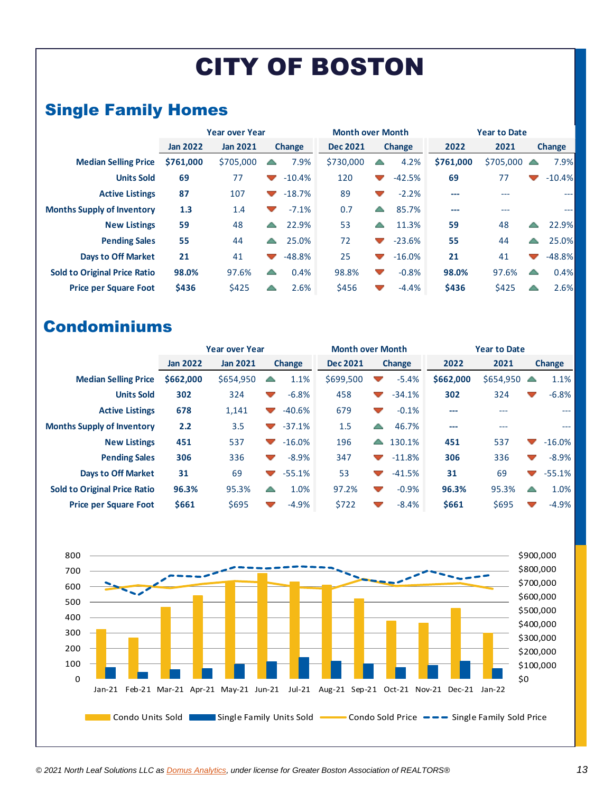# CITY OF BOSTON

### Single Family Homes

|                                     | <b>Year over Year</b> |                 | <b>Month over Month</b>  |               |                 | <b>Year to Date</b>      |               |           |                      |             |                     |
|-------------------------------------|-----------------------|-----------------|--------------------------|---------------|-----------------|--------------------------|---------------|-----------|----------------------|-------------|---------------------|
|                                     | <b>Jan 2022</b>       | <b>Jan 2021</b> |                          | <b>Change</b> | <b>Dec 2021</b> |                          | <b>Change</b> | 2022      | 2021                 |             | <b>Change</b>       |
| <b>Median Selling Price</b>         | \$761,000             | \$705,000       | $\triangle$              | 7.9%          | \$730,000       | ∸                        | 4.2%          | \$761,000 | $$705,000 \triangle$ |             | 7.9%                |
| <b>Units Sold</b>                   | 69                    | 77              | $\mathcal{L}$            | $-10.4%$      | 120             | $\overline{\phantom{a}}$ | $-42.5%$      | 69        | 77                   |             | $-10.4%$            |
| <b>Active Listings</b>              | 87                    | 107             | $\sim$                   | $-18.7%$      | 89              | $\blacktriangledown$     | $-2.2%$       | ---       | ---                  |             | ---                 |
| <b>Months Supply of Inventory</b>   | 1.3                   | 1.4             | $\overline{\phantom{a}}$ | $-7.1%$       | 0.7             | △                        | 85.7%         | ---       | $---$                |             | $\qquad \qquad - -$ |
| <b>New Listings</b>                 | 59                    | 48              | $\blacktriangle$         | 22.9%         | 53              | △                        | 11.3%         | 59        | 48                   | △           | 22.9%               |
| <b>Pending Sales</b>                | 55                    | 44              | △                        | 25.0%         | 72              |                          | $-23.6%$      | 55        | 44                   | △           | 25.0%               |
| <b>Days to Off Market</b>           | 21                    | 41              | $\sim$                   | $-48.8%$      | 25              | $\blacktriangledown$     | $-16.0%$      | 21        | 41                   |             | $-48.8%$            |
| <b>Sold to Original Price Ratio</b> | 98.0%                 | 97.6%           | △                        | 0.4%          | 98.8%           | $\overline{\phantom{a}}$ | $-0.8%$       | 98.0%     | 97.6%                | $\triangle$ | 0.4%                |
| <b>Price per Square Foot</b>        | \$436                 | \$425           | △                        | 2.6%          | \$456           |                          | $-4.4%$       | \$436     | \$425                |             | 2.6%                |

|                                     | <b>Year over Year</b> |                 | <b>Month over Month</b>  |               |                 | <b>Year to Date</b>      |               |           |           |                          |          |
|-------------------------------------|-----------------------|-----------------|--------------------------|---------------|-----------------|--------------------------|---------------|-----------|-----------|--------------------------|----------|
|                                     | <b>Jan 2022</b>       | <b>Jan 2021</b> |                          | <b>Change</b> | <b>Dec 2021</b> |                          | <b>Change</b> | 2022      | 2021      |                          | Change   |
| <b>Median Selling Price</b>         | \$662,000             | \$654,950       | △                        | 1.1%          | \$699,500       |                          | $-5.4%$       | \$662,000 | \$654,950 | △                        | 1.1%     |
| <b>Units Sold</b>                   | 302                   | 324             | $\overline{\phantom{a}}$ | $-6.8%$       | 458             | $\overline{\phantom{a}}$ | $-34.1%$      | 302       | 324       | $\overline{\phantom{a}}$ | $-6.8%$  |
| <b>Active Listings</b>              | 678                   | 1,141           | $\overline{\phantom{a}}$ | $-40.6%$      | 679             | $\blacktriangledown$     | $-0.1%$       | $---$     | ---       |                          | $---$    |
| <b>Months Supply of Inventory</b>   | 2.2                   | 3.5             | $\blacktriangledown$     | $-37.1%$      | 1.5             | △                        | 46.7%         | ---       | $---$     |                          | ---      |
| <b>New Listings</b>                 | 451                   | 537             | $\blacktriangledown$     | $-16.0%$      | 196             | △                        | 130.1%        | 451       | 537       | ▽                        | $-16.0%$ |
| <b>Pending Sales</b>                | 306                   | 336             | $\overline{\phantom{a}}$ | $-8.9%$       | 347             |                          | $-11.8%$      | 306       | 336       | $\overline{\phantom{a}}$ | $-8.9%$  |
| <b>Days to Off Market</b>           | 31                    | 69              | $\mathcal{L}$            | $-55.1%$      | 53              | $\overline{\phantom{a}}$ | $-41.5%$      | 31        | 69        | $\overline{\phantom{a}}$ | $-55.1%$ |
| <b>Sold to Original Price Ratio</b> | 96.3%                 | 95.3%           | △                        | 1.0%          | 97.2%           | $\overline{\phantom{a}}$ | $-0.9%$       | 96.3%     | 95.3%     | △                        | 1.0%     |
| <b>Price per Square Foot</b>        | \$661                 | \$695           | v.                       | $-4.9%$       | \$722           |                          | $-8.4%$       | \$661     | \$695     | $\overline{\phantom{a}}$ | $-4.9%$  |

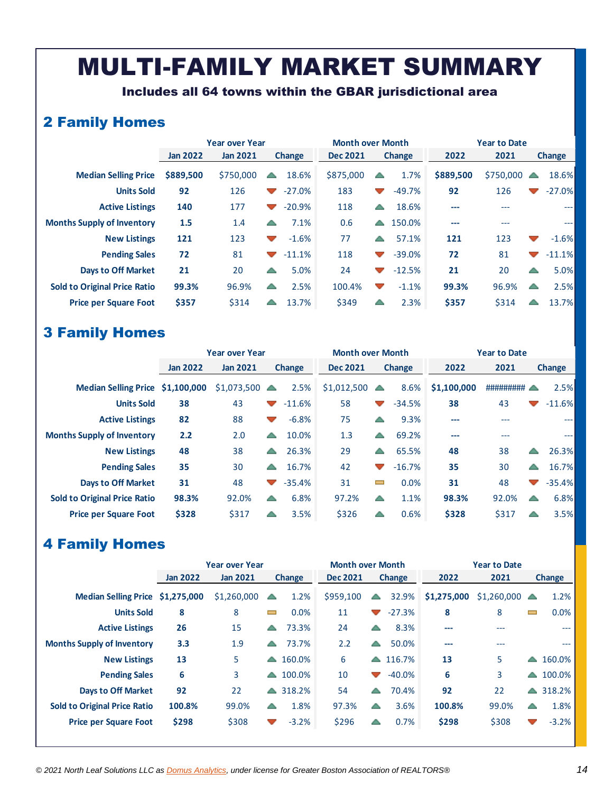### MULTI-FAMILY MARKET SUMMARY

Includes all 64 towns within the GBAR jurisdictional area

### 2 Family Homes

|                                     |                 | <b>Year over Year</b> |                          |               | <b>Month over Month</b> |                          |               | <b>Year to Date</b> |           |                          |               |  |
|-------------------------------------|-----------------|-----------------------|--------------------------|---------------|-------------------------|--------------------------|---------------|---------------------|-----------|--------------------------|---------------|--|
|                                     | <b>Jan 2022</b> | <b>Jan 2021</b>       |                          | <b>Change</b> | <b>Dec 2021</b>         |                          | <b>Change</b> | 2022                | 2021      |                          | <b>Change</b> |  |
| <b>Median Selling Price</b>         | \$889,500       | \$750,000             | △                        | 18.6%         | \$875,000               | △                        | 1.7%          | \$889,500           | \$750,000 | $\overline{\phantom{a}}$ | 18.6%         |  |
| <b>Units Sold</b>                   | 92              | 126                   | $\blacktriangledown$     | $-27.0%$      | 183                     | $\blacktriangledown$     | $-49.7%$      | 92                  | 126       |                          | $-27.0\%$     |  |
| <b>Active Listings</b>              | 140             | 177                   | $\overline{\phantom{a}}$ | $-20.9%$      | 118                     | △                        | 18.6%         | ---                 | ---       |                          | $---$         |  |
| <b>Months Supply of Inventory</b>   | 1.5             | 1.4                   | △                        | 7.1%          | 0.6                     | <b>A</b>                 | 150.0%        | ---                 | ---       |                          | $\cdots$      |  |
| <b>New Listings</b>                 | 121             | 123                   | $\overline{\phantom{a}}$ | $-1.6%$       | 77                      |                          | 57.1%         | 121                 | 123       | $\blacktriangledown$     | $-1.6%$       |  |
| <b>Pending Sales</b>                | 72              | 81                    | $\sqrt{2}$               | $-11.1%$      | 118                     | $\blacktriangledown$     | $-39.0%$      | 72                  | 81        | $\blacktriangledown$     | $-11.1%$      |  |
| <b>Days to Off Market</b>           | 21              | 20                    | △                        | 5.0%          | 24                      | $\blacktriangledown$     | $-12.5%$      | 21                  | 20        | △                        | 5.0%          |  |
| <b>Sold to Original Price Ratio</b> | 99.3%           | 96.9%                 | △                        | 2.5%          | 100.4%                  | $\overline{\phantom{a}}$ | $-1.1%$       | 99.3%               | 96.9%     | △                        | 2.5%          |  |
| <b>Price per Square Foot</b>        | \$357           | \$314                 |                          | 13.7%         | \$349                   |                          | 2.3%          | \$357               | \$314     |                          | 13.7%         |  |

#### 3 Family Homes

|                                     | <b>Year over Year</b> |                 | <b>Month over Month</b>  |               |                 | <b>Year to Date</b>      |               |             |           |                      |          |
|-------------------------------------|-----------------------|-----------------|--------------------------|---------------|-----------------|--------------------------|---------------|-------------|-----------|----------------------|----------|
|                                     | <b>Jan 2022</b>       | <b>Jan 2021</b> |                          | <b>Change</b> | <b>Dec 2021</b> |                          | <b>Change</b> | 2022        | 2021      |                      | Change   |
| Median Selling Price \$1,100,000    |                       | \$1,073,500     | $\sqrt{2}$               | 2.5%          | \$1,012,500     | $\triangle$              | 8.6%          | \$1,100,000 | ######### |                      | 2.5%     |
| <b>Units Sold</b>                   | 38                    | 43              | <b>Contract Contract</b> | $-11.6%$      | 58              | $\overline{\phantom{a}}$ | $-34.5%$      | 38          | 43        | $\blacktriangledown$ | $-11.6%$ |
| <b>Active Listings</b>              | 82                    | 88              | $\overline{\phantom{a}}$ | $-6.8%$       | 75              | △                        | 9.3%          | ---         |           |                      | $---$    |
| <b>Months Supply of Inventory</b>   | 2.2                   | 2.0             | △                        | 10.0%         | 1.3             | △                        | 69.2%         | ---         | $---$     |                      | ---      |
| <b>New Listings</b>                 | 48                    | 38              | △                        | 26.3%         | 29              | △                        | 65.5%         | 48          | 38        | △                    | 26.3%    |
| <b>Pending Sales</b>                | 35                    | 30              | A                        | 16.7%         | 42              |                          | $-16.7%$      | 35          | 30        | △                    | 16.7%    |
| <b>Days to Off Market</b>           | 31                    | 48              | $\sqrt{2}$               | $-35.4%$      | 31              | $\blacksquare$           | 0.0%          | 31          | 48        | $\blacktriangledown$ | $-35.4%$ |
| <b>Sold to Original Price Ratio</b> | 98.3%                 | 92.0%           | △                        | 6.8%          | 97.2%           | △                        | 1.1%          | 98.3%       | 92.0%     | △                    | 6.8%     |
| <b>Price per Square Foot</b>        | \$328                 | \$317           | △                        | 3.5%          | \$326           | △                        | 0.6%          | \$328       | \$317     | △                    | 3.5%     |

### 4 Family Homes

|                                     |                 | <b>Year over Year</b> |                             |                    | <b>Month over Month</b> |                          |          | <b>Year to Date</b> |                          |                  |         |  |
|-------------------------------------|-----------------|-----------------------|-----------------------------|--------------------|-------------------------|--------------------------|----------|---------------------|--------------------------|------------------|---------|--|
|                                     | <b>Jan 2022</b> | <b>Jan 2021</b>       |                             | <b>Change</b>      | <b>Dec 2021</b>         | <b>Change</b>            |          | 2022                | 2021                     |                  | Change  |  |
| Median Selling Price \$1,275,000    |                 | \$1,260,000           |                             | 1.2%               | \$959,100               | △                        | 32.9%    | \$1,275,000         | $$1,260,000$ $\triangle$ |                  | 1.2%    |  |
| <b>Units Sold</b>                   | 8               | 8                     | $\mathcal{L}_{\mathcal{A}}$ | 0.0%               | 11                      | $\overline{\phantom{a}}$ | $-27.3%$ | 8                   | 8                        |                  | 0.0%    |  |
| <b>Active Listings</b>              | 26              | 15                    | $\blacktriangle$            | 73.3%              | 24                      | △                        | 8.3%     | ---                 | $---$                    |                  | $---$   |  |
| <b>Months Supply of Inventory</b>   | 3.3             | 1.9                   | ▲                           | 73.7%              | 2.2                     | △                        | 50.0%    | ---                 | $---$                    |                  | $---$   |  |
| <b>New Listings</b>                 | 13              | 5                     |                             | $\triangle$ 160.0% | 6                       | $\triangle$              | 116.7%   | 13                  | 5                        | ▲                | 160.0%  |  |
| <b>Pending Sales</b>                | 6               | 3                     | $\blacktriangle$            | 100.0%             | 10                      | $\blacktriangledown$     | $-40.0%$ | 6                   | 3                        | $\blacktriangle$ | 100.0%  |  |
| <b>Days to Off Market</b>           | 92              | 22                    |                             | $\triangle$ 318.2% | 54                      | △                        | 70.4%    | 92                  | 22                       | $\blacktriangle$ | 318.2%  |  |
| <b>Sold to Original Price Ratio</b> | 100.8%          | 99.0%                 | $\sqrt{2}$                  | 1.8%               | 97.3%                   | △                        | 3.6%     | 100.8%              | 99.0%                    | △                | 1.8%    |  |
| <b>Price per Square Foot</b>        | \$298           | \$308                 | $\checkmark$                | $-3.2%$            | \$296                   |                          | 0.7%     | \$298               | \$308                    | $\sim$           | $-3.2%$ |  |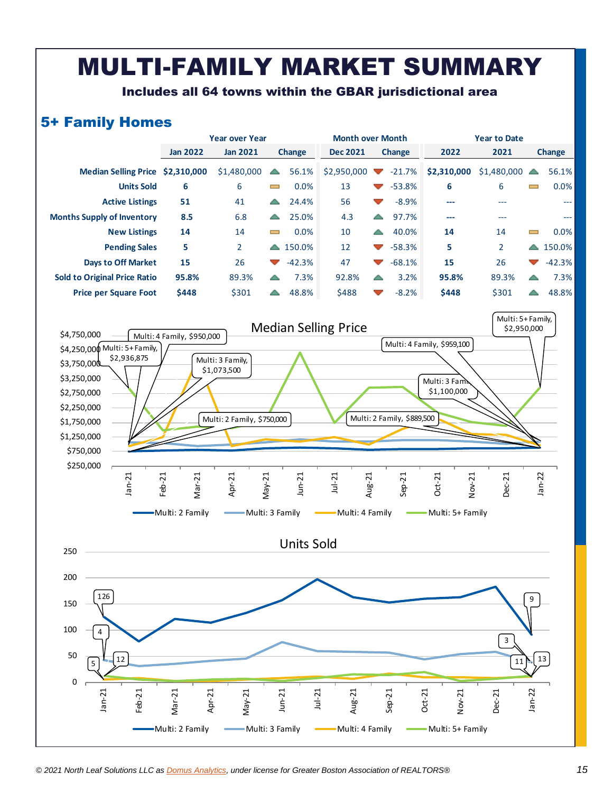### MULTI-FAMILY MARKET SUMMARY

Includes all 64 towns within the GBAR jurisdictional area

#### 5+ Family Homes

|                                     |                 | <b>Year over Year</b> |                          |               | <b>Month over Month</b>           |                      |          | <b>Year to Date</b> |                          |                          |               |  |
|-------------------------------------|-----------------|-----------------------|--------------------------|---------------|-----------------------------------|----------------------|----------|---------------------|--------------------------|--------------------------|---------------|--|
|                                     | <b>Jan 2022</b> | <b>Jan 2021</b>       |                          | <b>Change</b> | <b>Dec 2021</b>                   | <b>Change</b>        |          | 2022                | 2021                     |                          | <b>Change</b> |  |
| Median Selling Price \$2,310,000    |                 | \$1,480,000           | $\blacktriangle$         | 56.1%         | $$2,950,000$ $\blacktriangledown$ |                      | $-21.7%$ | \$2,310,000         | $$1,480,000$ $\triangle$ |                          | 56.1%         |  |
| <b>Units Sold</b>                   | 6               | 6                     | $\equiv$                 | 0.0%          | 13                                | $\blacktriangledown$ | $-53.8%$ | 6                   | 6                        | <b>College</b>           | 0.0%          |  |
| <b>Active Listings</b>              | 51              | 41                    | ▲                        | 24.4%         | 56                                | $\blacktriangledown$ | $-8.9%$  | ---                 | ---                      |                          | $\frac{1}{2}$ |  |
| <b>Months Supply of Inventory</b>   | 8.5             | 6.8                   | ▴                        | 25.0%         | 4.3                               | △                    | 97.7%    | ---                 | ---                      |                          | ---           |  |
| <b>New Listings</b>                 | 14              | 14                    | $\overline{\phantom{0}}$ | 0.0%          | 10                                | $\leftarrow$         | 40.0%    | 14                  | 14                       | $\overline{\phantom{0}}$ | 0.0%          |  |
| <b>Pending Sales</b>                | 5               | $\overline{2}$        | $\blacktriangle$         | 150.0%        | 12                                | $\blacktriangledown$ | $-58.3%$ | 5                   | $\overline{2}$           | $\triangle$              | 150.0%        |  |
| <b>Days to Off Market</b>           | 15              | 26                    | $\blacktriangledown$     | $-42.3%$      | 47                                | $\mathcal{L}$        | $-68.1%$ | 15                  | 26                       | $\overline{\phantom{a}}$ | $-42.3%$      |  |
| <b>Sold to Original Price Ratio</b> | 95.8%           | 89.3%                 | △                        | 7.3%          | 92.8%                             | △                    | 3.2%     | 95.8%               | 89.3%                    |                          | 7.3%          |  |
| <b>Price per Square Foot</b>        | \$448           | \$301                 | ▲                        | 48.8%         | \$488                             | $\sim$               | $-8.2%$  | \$448               | \$301                    |                          | 48.8%         |  |



May-21<br>Jun-21<br>Jul-21<br>Aug-21

Multi: 2 Family **Multi: 3 Family Multi: 4 Family Multi: 2 Family** Multi: 5+ Family

Jan-21 Feb-21 Mar-21 Apr-21

Sep-21<br>Oct-21<br>Nov-21<br>Dec-21 Jan-22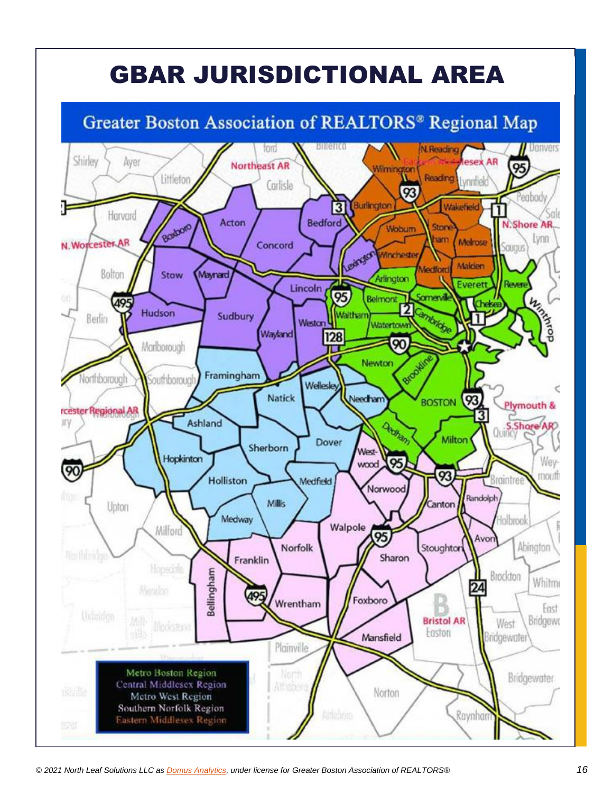# GBAR JURISDICTIONAL AREA

### Greater Boston Association of REALTORS® Regional Map